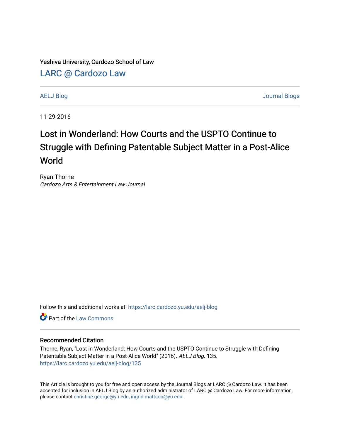Yeshiva University, Cardozo School of Law

[LARC @ Cardozo Law](https://larc.cardozo.yu.edu/)

[AELJ Blog](https://larc.cardozo.yu.edu/aelj-blog) [Journal Blogs](https://larc.cardozo.yu.edu/journal-blogs) 

11-29-2016

## Lost in Wonderland: How Courts and the USPTO Continue to Struggle with Defining Patentable Subject Matter in a Post-Alice World

Ryan Thorne Cardozo Arts & Entertainment Law Journal

Follow this and additional works at: [https://larc.cardozo.yu.edu/aelj-blog](https://larc.cardozo.yu.edu/aelj-blog?utm_source=larc.cardozo.yu.edu%2Faelj-blog%2F135&utm_medium=PDF&utm_campaign=PDFCoverPages) 

**C** Part of the [Law Commons](http://network.bepress.com/hgg/discipline/578?utm_source=larc.cardozo.yu.edu%2Faelj-blog%2F135&utm_medium=PDF&utm_campaign=PDFCoverPages)

## Recommended Citation

Thorne, Ryan, "Lost in Wonderland: How Courts and the USPTO Continue to Struggle with Defining Patentable Subject Matter in a Post-Alice World" (2016). AELJ Blog. 135. [https://larc.cardozo.yu.edu/aelj-blog/135](https://larc.cardozo.yu.edu/aelj-blog/135?utm_source=larc.cardozo.yu.edu%2Faelj-blog%2F135&utm_medium=PDF&utm_campaign=PDFCoverPages) 

This Article is brought to you for free and open access by the Journal Blogs at LARC @ Cardozo Law. It has been accepted for inclusion in AELJ Blog by an authorized administrator of LARC @ Cardozo Law. For more information, please contact [christine.george@yu.edu, ingrid.mattson@yu.edu.](mailto:christine.george@yu.edu,%20ingrid.mattson@yu.edu)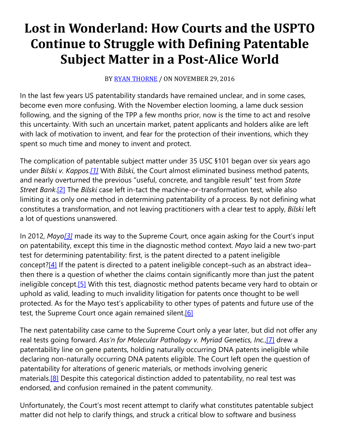## **Lost in Wonderland: How Courts and the USPTO Continue to Struggle with Defining Patentable Subject Matter in a Post-Alice World**

BY [RYAN THORNE](https://cardozoaelj.com/author/ryanthorne/) / ON NOVEMBER 29, 2016

In the last few years US patentability standards have remained unclear, and in some cases, become even more confusing. With the November election looming, a lame duck session following, and the signing of the TPP a few months prior, now is the time to act and resolve this uncertainty. With such an uncertain market, patent applicants and holders alike are left with lack of motivation to invent, and fear for the protection of their inventions, which they spent so much time and money to invent and protect.

The complication of patentable subject matter under 35 USC §101 began over six years ago under *Bilski v. Kappos[.\[1\]](https://cardozoaelj.com/2016/11/29/lost-wonderland-courts-uspto-continue-struggle-defining-patentable-subject-matter-post-alice-world/#_ftn1)* With *Bilski*, the Court almost eliminated business method patents, and nearly overturned the previous "useful, concrete, and tangible result" test from *State Street Bank*[.\[2\]](https://cardozoaelj.com/2016/11/29/lost-wonderland-courts-uspto-continue-struggle-defining-patentable-subject-matter-post-alice-world/#_ftn2) The *Bilski* case left in-tact the machine-or-transformation test, while also limiting it as only one method in determining patentability of a process. By not defining what constitutes a transformation, and not leaving practitioners with a clear test to apply, *Bilski* left a lot of questions unanswered.

In 2012, *May[o\[3\]](https://cardozoaelj.com/2016/11/29/lost-wonderland-courts-uspto-continue-struggle-defining-patentable-subject-matter-post-alice-world/#_ftn3)* made its way to the Supreme Court, once again asking for the Court's input on patentability, except this time in the diagnostic method context. *Mayo* laid a new two-part test for determining patentability: first, is the patent directed to a patent ineligible concept? $[4]$  If the patent is directed to a patent ineligible concept–such as an abstract idea– then there is a question of whether the claims contain significantly more than just the patent ineligible concept[.\[5\]](https://cardozoaelj.com/2016/11/29/lost-wonderland-courts-uspto-continue-struggle-defining-patentable-subject-matter-post-alice-world/#_ftn5) With this test, diagnostic method patents became very hard to obtain or uphold as valid, leading to much invalidity litigation for patents once thought to be well protected. As for the Mayo test's applicability to other types of patents and future use of the test, the Supreme Court once again remained silent.<sup>[6]</sup>

The next patentability case came to the Supreme Court only a year later, but did not offer any real tests going forward. *Ass'n for Molecular Pathology v. Myriad Genetics, Inc.*[,\[7\]](https://cardozoaelj.com/2016/11/29/lost-wonderland-courts-uspto-continue-struggle-defining-patentable-subject-matter-post-alice-world/#_ftn7) drew a patentability line on gene patents, holding naturally occurring DNA patents ineligible while declaring non-naturally occurring DNA patents eligible. The Court left open the question of patentability for alterations of generic materials, or methods involving generic materials.<sup>[8]</sup> Despite this categorical distinction added to patentability, no real test was endorsed, and confusion remained in the patent community.

Unfortunately, the Court's most recent attempt to clarify what constitutes patentable subject matter did not help to clarify things, and struck a critical blow to software and business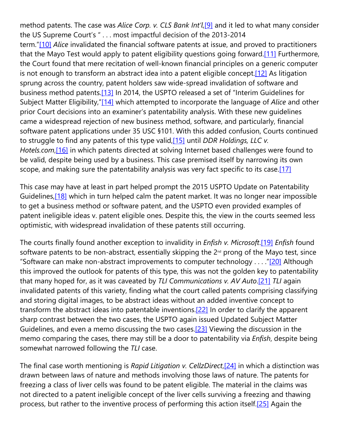method patents. The case was *Alice Corp. v. CLS Bank Int'l*[,\[9\]](https://cardozoaelj.com/2016/11/29/lost-wonderland-courts-uspto-continue-struggle-defining-patentable-subject-matter-post-alice-world/#_ftn9) and it led to what many consider the US Supreme Court's " . . . most impactful decision of the 2013-2014 term.["\[10\]](https://cardozoaelj.com/2016/11/29/lost-wonderland-courts-uspto-continue-struggle-defining-patentable-subject-matter-post-alice-world/#_ftn10) *Alice* invalidated the financial software patents at issue, and proved to practitioners that the Mayo Test would apply to patent eligibility questions going forward.<sup>[11]</sup> Furthermore, the Court found that mere recitation of well-known financial principles on a generic computer is not enough to transform an abstract idea into a patent eligible concept[.\[12\]](https://cardozoaelj.com/2016/11/29/lost-wonderland-courts-uspto-continue-struggle-defining-patentable-subject-matter-post-alice-world/#_ftn12) As litigation sprung across the country, patent holders saw wide-spread invalidation of software and business method patents[.\[13\]](https://cardozoaelj.com/2016/11/29/lost-wonderland-courts-uspto-continue-struggle-defining-patentable-subject-matter-post-alice-world/#_ftn13) In 2014, the USPTO released a set of "Interim Guidelines for Subject Matter Eligibility,["\[14\]](https://cardozoaelj.com/2016/11/29/lost-wonderland-courts-uspto-continue-struggle-defining-patentable-subject-matter-post-alice-world/#_ftn14) which attempted to incorporate the language of *Alice* and other prior Court decisions into an examiner's patentability analysis. With these new guidelines came a widespread rejection of new business method, software, and particularly, financial software patent applications under 35 USC §101. With this added confusion, Courts continued to struggle to find any patents of this type valid[,\[15\]](https://cardozoaelj.com/2016/11/29/lost-wonderland-courts-uspto-continue-struggle-defining-patentable-subject-matter-post-alice-world/#_ftn15) until *DDR Holdings, LLC v. Hotels.com*[,\[16\]](https://cardozoaelj.com/2016/11/29/lost-wonderland-courts-uspto-continue-struggle-defining-patentable-subject-matter-post-alice-world/#_ftn16) in which patents directed at solving Internet based challenges were found to be valid, despite being used by a business. This case premised itself by narrowing its own scope, and making sure the patentability analysis was very fact specific to its case[.\[17\]](https://cardozoaelj.com/2016/11/29/lost-wonderland-courts-uspto-continue-struggle-defining-patentable-subject-matter-post-alice-world/#_ftn17)

This case may have at least in part helped prompt the 2015 USPTO Update on Patentability Guidelines,<sup>[18]</sup> which in turn helped calm the patent market. It was no longer near impossible to get a business method or software patent, and the USPTO even provided examples of patent ineligible ideas v. patent eligible ones. Despite this, the view in the courts seemed less optimistic, with widespread invalidation of these patents still occurring.

The courts finally found another exception to invalidity in *Enfish v. Microsoft*[.\[19\]](https://cardozoaelj.com/2016/11/29/lost-wonderland-courts-uspto-continue-struggle-defining-patentable-subject-matter-post-alice-world/#_ftn19) *Enfish* found software patents to be non-abstract, essentially skipping the 2<sup>nd</sup> prong of the Mayo test, since "Software can make non-abstract improvements to computer technology . . . . ["\[20\]](https://cardozoaelj.com/2016/11/29/lost-wonderland-courts-uspto-continue-struggle-defining-patentable-subject-matter-post-alice-world/#_ftn20) Although this improved the outlook for patents of this type, this was not the golden key to patentability that many hoped for, as it was caveated by *TLI Communications v. AV Auto*[.\[21\]](https://cardozoaelj.com/2016/11/29/lost-wonderland-courts-uspto-continue-struggle-defining-patentable-subject-matter-post-alice-world/#_ftn21) *TLI* again invalidated patents of this variety, finding what the court called patents comprising classifying and storing digital images, to be abstract ideas without an added inventive concept to transform the abstract ideas into patentable inventions[.\[22\]](https://cardozoaelj.com/2016/11/29/lost-wonderland-courts-uspto-continue-struggle-defining-patentable-subject-matter-post-alice-world/#_ftn22) In order to clarify the apparent sharp contrast between the two cases, the USPTO again issued Updated Subject Matter Guidelines, and even a memo discussing the two cases.<sup>[23]</sup> Viewing the discussion in the memo comparing the cases, there may still be a door to patentability via *Enfish*, despite being somewhat narrowed following the *TLI* case.

The final case worth mentioning is *Rapid Litigation v. CellzDirect*[,\[24\]](https://cardozoaelj.com/2016/11/29/lost-wonderland-courts-uspto-continue-struggle-defining-patentable-subject-matter-post-alice-world/#_ftn24) in which a distinction was drawn between laws of nature and methods involving those laws of nature. The patents for freezing a class of liver cells was found to be patent eligible. The material in the claims was not directed to a patent ineligible concept of the liver cells surviving a freezing and thawing process, but rather to the inventive process of performing this action itself[.\[25\]](https://cardozoaelj.com/2016/11/29/lost-wonderland-courts-uspto-continue-struggle-defining-patentable-subject-matter-post-alice-world/#_ftn25) Again the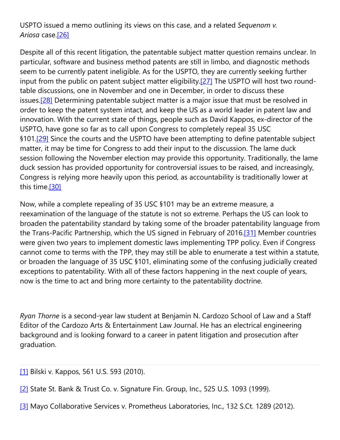## USPTO issued a memo outlining its views on this case, and a related *Sequenom v. Ariosa* case[.\[26\]](https://cardozoaelj.com/2016/11/29/lost-wonderland-courts-uspto-continue-struggle-defining-patentable-subject-matter-post-alice-world/#_ftn26)

Despite all of this recent litigation, the patentable subject matter question remains unclear. In particular, software and business method patents are still in limbo, and diagnostic methods seem to be currently patent ineligible. As for the USPTO, they are currently seeking further input from the public on patent subject matter eligibility.<sup>[27]</sup> The USPTO will host two roundtable discussions, one in November and one in December, in order to discuss these issues.<sup>[28]</sup> Determining patentable subject matter is a major issue that must be resolved in order to keep the patent system intact, and keep the US as a world leader in patent law and innovation. With the current state of things, people such as David Kappos, ex-director of the USPTO, have gone so far as to call upon Congress to completely repeal 35 USC §101.<sup>[29]</sup> Since the courts and the USPTO have been attempting to define patentable subject matter, it may be time for Congress to add their input to the discussion. The lame duck session following the November election may provide this opportunity. Traditionally, the lame duck session has provided opportunity for controversial issues to be raised, and increasingly, Congress is relying more heavily upon this period, as accountability is traditionally lower at this time[.\[30\]](https://cardozoaelj.com/2016/11/29/lost-wonderland-courts-uspto-continue-struggle-defining-patentable-subject-matter-post-alice-world/#_ftn30)

Now, while a complete repealing of 35 USC §101 may be an extreme measure, a reexamination of the language of the statute is not so extreme. Perhaps the US can look to broaden the patentability standard by taking some of the broader patentability language from the Trans-Pacific Partnership, which the US signed in February of 2016[.\[31\]](https://cardozoaelj.com/2016/11/29/lost-wonderland-courts-uspto-continue-struggle-defining-patentable-subject-matter-post-alice-world/#_ftn31) Member countries were given two years to implement domestic laws implementing TPP policy. Even if Congress cannot come to terms with the TPP, they may still be able to enumerate a test within a statute, or broaden the language of 35 USC §101, eliminating some of the confusing judicially created exceptions to patentability. With all of these factors happening in the next couple of years, now is the time to act and bring more certainty to the patentability doctrine.

*Ryan Thorne* is a second-year law student at Benjamin N. Cardozo School of Law and a Staff Editor of the Cardozo Arts & Entertainment Law Journal. He has an electrical engineering background and is looking forward to a career in patent litigation and prosecution after graduation.

[\[1\]](https://cardozoaelj.com/2016/11/29/lost-wonderland-courts-uspto-continue-struggle-defining-patentable-subject-matter-post-alice-world/#_ftnref) Bilski v. Kappos, 561 U.S. 593 (2010).

- [\[2\]](https://cardozoaelj.com/2016/11/29/lost-wonderland-courts-uspto-continue-struggle-defining-patentable-subject-matter-post-alice-world/#_ftnref) State St. Bank & Trust Co. v. Signature Fin. Group, Inc., 525 U.S. 1093 (1999).
- [\[3\]](https://cardozoaelj.com/2016/11/29/lost-wonderland-courts-uspto-continue-struggle-defining-patentable-subject-matter-post-alice-world/#_ftnref) Mayo Collaborative Services v. Prometheus Laboratories, Inc., 132 S.Ct. 1289 (2012).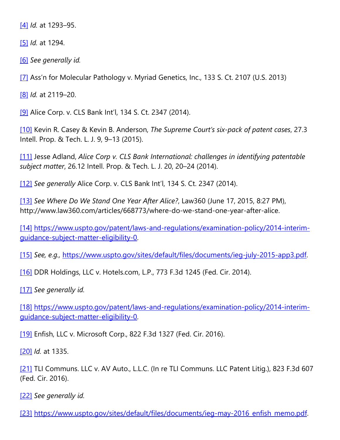[\[4\]](https://cardozoaelj.com/2016/11/29/lost-wonderland-courts-uspto-continue-struggle-defining-patentable-subject-matter-post-alice-world/#_ftnref) *Id.* at 1293–95.

[\[5\]](https://cardozoaelj.com/2016/11/29/lost-wonderland-courts-uspto-continue-struggle-defining-patentable-subject-matter-post-alice-world/#_ftnref) *Id.* at 1294.

[\[6\]](https://cardozoaelj.com/2016/11/29/lost-wonderland-courts-uspto-continue-struggle-defining-patentable-subject-matter-post-alice-world/#_ftnref) *See generally id.*

[\[7\]](https://cardozoaelj.com/2016/11/29/lost-wonderland-courts-uspto-continue-struggle-defining-patentable-subject-matter-post-alice-world/#_ftnref) Ass'n for Molecular Pathology v. Myriad Genetics, Inc., 133 S. Ct. 2107 (U.S. 2013)

[\[8\]](https://cardozoaelj.com/2016/11/29/lost-wonderland-courts-uspto-continue-struggle-defining-patentable-subject-matter-post-alice-world/#_ftnref) *Id.* at 2119–20.

[\[9\]](https://cardozoaelj.com/2016/11/29/lost-wonderland-courts-uspto-continue-struggle-defining-patentable-subject-matter-post-alice-world/#_ftnref) Alice Corp. v. CLS Bank Int'l, 134 S. Ct. 2347 (2014).

[\[10\]](https://cardozoaelj.com/2016/11/29/lost-wonderland-courts-uspto-continue-struggle-defining-patentable-subject-matter-post-alice-world/#_ftnref) Kevin R. Casey & Kevin B. Anderson, *The Supreme Court's six-pack of patent cases*, 27.3 Intell. Prop. & Tech. L. J. 9, 9–13 (2015).

[\[11\]](https://cardozoaelj.com/2016/11/29/lost-wonderland-courts-uspto-continue-struggle-defining-patentable-subject-matter-post-alice-world/#_ftnref) Jesse Adland, *Alice Corp v. CLS Bank International: challenges in identifying patentable subject matter*, 26.12 Intell. Prop. & Tech. L. J. 20, 20–24 (2014).

[\[12\]](https://cardozoaelj.com/2016/11/29/lost-wonderland-courts-uspto-continue-struggle-defining-patentable-subject-matter-post-alice-world/#_ftnref) *See generally* Alice Corp. v. CLS Bank Int'l, 134 S. Ct. 2347 (2014).

[\[13\]](https://cardozoaelj.com/2016/11/29/lost-wonderland-courts-uspto-continue-struggle-defining-patentable-subject-matter-post-alice-world/#_ftnref) *See Where Do We Stand One Year After Alice?*, Law360 (June 17, 2015, 8:27 PM), http://www.law360.com/articles/668773/where-do-we-stand-one-year-after-alice.

[\[14\]](https://cardozoaelj.com/2016/11/29/lost-wonderland-courts-uspto-continue-struggle-defining-patentable-subject-matter-post-alice-world/#_ftnref) [https://www.uspto.gov/patent/laws-and-regulations/examination-policy/2014-interim](https://www.uspto.gov/patent/laws-and-regulations/examination-policy/2014-interim-guidance-subject-matter-eligibility-0)[guidance-subject-matter-eligibility-0.](https://www.uspto.gov/patent/laws-and-regulations/examination-policy/2014-interim-guidance-subject-matter-eligibility-0)

[\[15\]](https://cardozoaelj.com/2016/11/29/lost-wonderland-courts-uspto-continue-struggle-defining-patentable-subject-matter-post-alice-world/#_ftnref) *See, e.g.,* [https://www.uspto.gov/sites/default/files/documents/ieg-july-2015-app3.pdf.](https://www.uspto.gov/sites/default/files/documents/ieg-july-2015-app3.pdf)

[\[16\]](https://cardozoaelj.com/2016/11/29/lost-wonderland-courts-uspto-continue-struggle-defining-patentable-subject-matter-post-alice-world/#_ftnref) DDR Holdings, LLC v. Hotels.com, L.P., 773 F.3d 1245 (Fed. Cir. 2014).

[\[17\]](https://cardozoaelj.com/2016/11/29/lost-wonderland-courts-uspto-continue-struggle-defining-patentable-subject-matter-post-alice-world/#_ftnref) *See generally id.*

[\[18\]](https://cardozoaelj.com/2016/11/29/lost-wonderland-courts-uspto-continue-struggle-defining-patentable-subject-matter-post-alice-world/#_ftnref) [https://www.uspto.gov/patent/laws-and-regulations/examination-policy/2014-interim](https://www.uspto.gov/patent/laws-and-regulations/examination-policy/2014-interim-guidance-subject-matter-eligibility-0)[guidance-subject-matter-eligibility-0.](https://www.uspto.gov/patent/laws-and-regulations/examination-policy/2014-interim-guidance-subject-matter-eligibility-0)

[\[19\]](https://cardozoaelj.com/2016/11/29/lost-wonderland-courts-uspto-continue-struggle-defining-patentable-subject-matter-post-alice-world/#_ftnref) Enfish, LLC v. Microsoft Corp., 822 F.3d 1327 (Fed. Cir. 2016).

[\[20\]](https://cardozoaelj.com/2016/11/29/lost-wonderland-courts-uspto-continue-struggle-defining-patentable-subject-matter-post-alice-world/#_ftnref) *Id.* at 1335.

[\[21\]](https://cardozoaelj.com/2016/11/29/lost-wonderland-courts-uspto-continue-struggle-defining-patentable-subject-matter-post-alice-world/#_ftnref) TLI Communs. LLC v. AV Auto., L.L.C. (In re TLI Communs. LLC Patent Litig.), 823 F.3d 607 (Fed. Cir. 2016).

[\[22\]](https://cardozoaelj.com/2016/11/29/lost-wonderland-courts-uspto-continue-struggle-defining-patentable-subject-matter-post-alice-world/#_ftnref) *See generally id.*

[\[23\]](https://cardozoaelj.com/2016/11/29/lost-wonderland-courts-uspto-continue-struggle-defining-patentable-subject-matter-post-alice-world/#_ftnref) https://www.uspto.gov/sites/default/files/documents/ieg-may-2016 enfish memo.pdf.